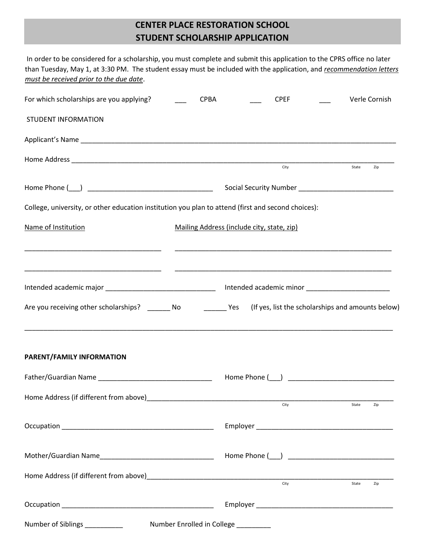## **CENTER PLACE RESTORATION SCHOOL STUDENT SCHOLARSHIP APPLICATION**

| In order to be considered for a scholarship, you must complete and submit this application to the CPRS office no later<br>than Tuesday, May 1, at 3:30 PM. The student essay must be included with the application, and recommendation letters<br>must be received prior to the due date. |             |                                                                                                                     |       |               |
|-------------------------------------------------------------------------------------------------------------------------------------------------------------------------------------------------------------------------------------------------------------------------------------------|-------------|---------------------------------------------------------------------------------------------------------------------|-------|---------------|
| For which scholarships are you applying?                                                                                                                                                                                                                                                  | <b>CPBA</b> | <b>CPEF</b>                                                                                                         |       | Verle Cornish |
| <b>STUDENT INFORMATION</b>                                                                                                                                                                                                                                                                |             |                                                                                                                     |       |               |
|                                                                                                                                                                                                                                                                                           |             |                                                                                                                     |       |               |
|                                                                                                                                                                                                                                                                                           |             | City                                                                                                                | State | Zip           |
|                                                                                                                                                                                                                                                                                           |             |                                                                                                                     |       |               |
|                                                                                                                                                                                                                                                                                           |             |                                                                                                                     |       |               |
| College, university, or other education institution you plan to attend (first and second choices):                                                                                                                                                                                        |             |                                                                                                                     |       |               |
| Name of Institution                                                                                                                                                                                                                                                                       |             | Mailing Address (include city, state, zip)                                                                          |       |               |
|                                                                                                                                                                                                                                                                                           |             | <u> 1989 - Johann John Stoff, deutscher Stoffen und der Stoffen und der Stoffen und der Stoffen und der Stoffen</u> |       |               |
|                                                                                                                                                                                                                                                                                           |             |                                                                                                                     |       |               |
|                                                                                                                                                                                                                                                                                           |             |                                                                                                                     |       |               |
| Are you receiving other scholarships? _________ No _____________ Yes                                                                                                                                                                                                                      |             | (If yes, list the scholarships and amounts below)                                                                   |       |               |
| ,我们也不能会在这里,我们的人们就会在这里,我们的人们就会在这里,我们也不会在这里,我们也不会在这里,我们也不会在这里,我们也不会在这里,我们也不会在这里,我们                                                                                                                                                                                                          |             |                                                                                                                     |       |               |
| PARENT/FAMILY INFORMATION                                                                                                                                                                                                                                                                 |             |                                                                                                                     |       |               |
|                                                                                                                                                                                                                                                                                           |             |                                                                                                                     |       |               |
|                                                                                                                                                                                                                                                                                           |             |                                                                                                                     |       |               |
|                                                                                                                                                                                                                                                                                           |             |                                                                                                                     | State | Zip           |
|                                                                                                                                                                                                                                                                                           |             |                                                                                                                     |       |               |
|                                                                                                                                                                                                                                                                                           |             |                                                                                                                     |       |               |
|                                                                                                                                                                                                                                                                                           |             |                                                                                                                     |       |               |
|                                                                                                                                                                                                                                                                                           |             | $\overline{\text{City}}$                                                                                            | State | Zip           |
|                                                                                                                                                                                                                                                                                           |             |                                                                                                                     |       |               |
| Number of Siblings ____________                                                                                                                                                                                                                                                           |             | Number Enrolled in College __________                                                                               |       |               |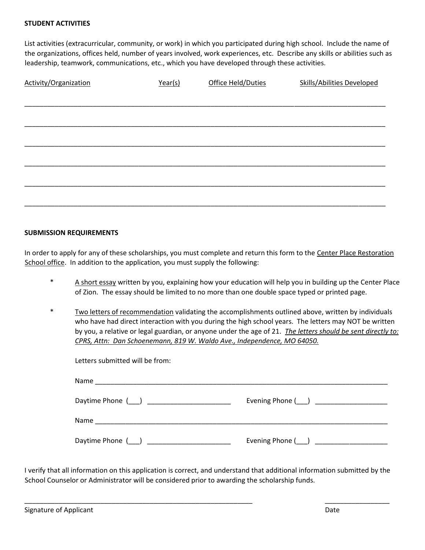List activities (extracurricular, community, or work) in which you participated during high school. Include the name of the organizations, offices held, number of years involved, work experiences, etc. Describe any skills or abilities such as leadership, teamwork, communications, etc., which you have developed through these activities.

| Activity/Organization | Year(s) | Office Held/Duties | <b>Skills/Abilities Developed</b> |
|-----------------------|---------|--------------------|-----------------------------------|
|                       |         |                    |                                   |
|                       |         |                    |                                   |
|                       |         |                    |                                   |
|                       |         |                    |                                   |
|                       |         |                    |                                   |
|                       |         |                    |                                   |
|                       |         |                    |                                   |
|                       |         |                    |                                   |

## **SUBMISSION REQUIREMENTS**

In order to apply for any of these scholarships, you must complete and return this form to the Center Place Restoration School office. In addition to the application, you must supply the following:

- \* A short essay written by you, explaining how your education will help you in building up the Center Place of Zion. The essay should be limited to no more than one double space typed or printed page.
- Two letters of recommendation validating the accomplishments outlined above, written by individuals who have had direct interaction with you during the high school years. The letters may NOT be written by you, a relative or legal guardian, or anyone under the age of 21. *The letters should be sent directly to: CPRS, Attn: Dan Schoenemann, 819 W. Waldo Ave., Independence, MO 64050.*

| Letters submitted will be from: |                   |
|---------------------------------|-------------------|
|                                 |                   |
| Daytime Phone ( )               | Evening Phone ( ) |
|                                 |                   |
| Daytime Phone ( )               | Evening Phone ( ) |

I verify that all information on this application is correct, and understand that additional information submitted by the School Counselor or Administrator will be considered prior to awarding the scholarship funds.

\_\_\_\_\_\_\_\_\_\_\_\_\_\_\_\_\_\_\_\_\_\_\_\_\_\_\_\_\_\_\_\_\_\_\_\_\_\_\_\_\_\_\_\_\_\_\_\_\_\_\_\_\_\_\_\_\_\_\_\_ \_\_\_\_\_\_\_\_\_\_\_\_\_\_\_\_\_